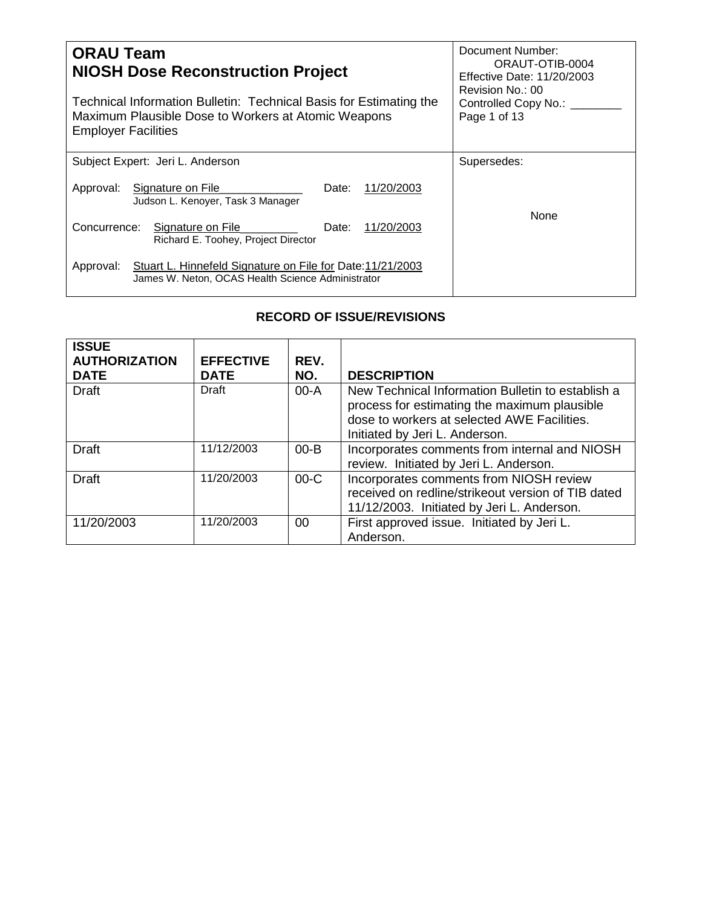| <b>ORAU Team</b><br><b>NIOSH Dose Reconstruction Project</b><br>Technical Information Bulletin: Technical Basis for Estimating the<br>Maximum Plausible Dose to Workers at Atomic Weapons<br><b>Employer Facilities</b> | Document Number:<br>ORAUT-OTIB-0004<br>Effective Date: 11/20/2003<br>Revision No.: 00<br>Controlled Copy No.: ____<br>Page 1 of 13 |
|-------------------------------------------------------------------------------------------------------------------------------------------------------------------------------------------------------------------------|------------------------------------------------------------------------------------------------------------------------------------|
| Subject Expert: Jeri L. Anderson                                                                                                                                                                                        | Supersedes:                                                                                                                        |
| Signature on File<br>11/20/2003<br>Approval:<br>Date:<br>Judson L. Kenoyer, Task 3 Manager                                                                                                                              |                                                                                                                                    |
| Concurrence:<br>11/20/2003<br>Signature on File<br>Date:<br>Richard E. Toohey, Project Director                                                                                                                         | None                                                                                                                               |
| Stuart L. Hinnefeld Signature on File for Date: 11/21/2003<br>Approval:<br>James W. Neton, OCAS Health Science Administrator                                                                                            |                                                                                                                                    |

## **RECORD OF ISSUE/REVISIONS**

| <b>ISSUE</b><br><b>AUTHORIZATION</b><br><b>DATE</b> | <b>EFFECTIVE</b><br><b>DATE</b> | REV.<br>NO. | <b>DESCRIPTION</b>                                                                                                                                                                 |
|-----------------------------------------------------|---------------------------------|-------------|------------------------------------------------------------------------------------------------------------------------------------------------------------------------------------|
| <b>Draft</b>                                        | Draft                           | $00-A$      | New Technical Information Bulletin to establish a<br>process for estimating the maximum plausible<br>dose to workers at selected AWE Facilities.<br>Initiated by Jeri L. Anderson. |
| <b>Draft</b>                                        | 11/12/2003                      | $00 - B$    | Incorporates comments from internal and NIOSH<br>review. Initiated by Jeri L. Anderson.                                                                                            |
| Draft                                               | 11/20/2003                      | $00-C$      | Incorporates comments from NIOSH review<br>received on redline/strikeout version of TIB dated<br>11/12/2003. Initiated by Jeri L. Anderson.                                        |
| 11/20/2003                                          | 11/20/2003                      | 00          | First approved issue. Initiated by Jeri L.<br>Anderson.                                                                                                                            |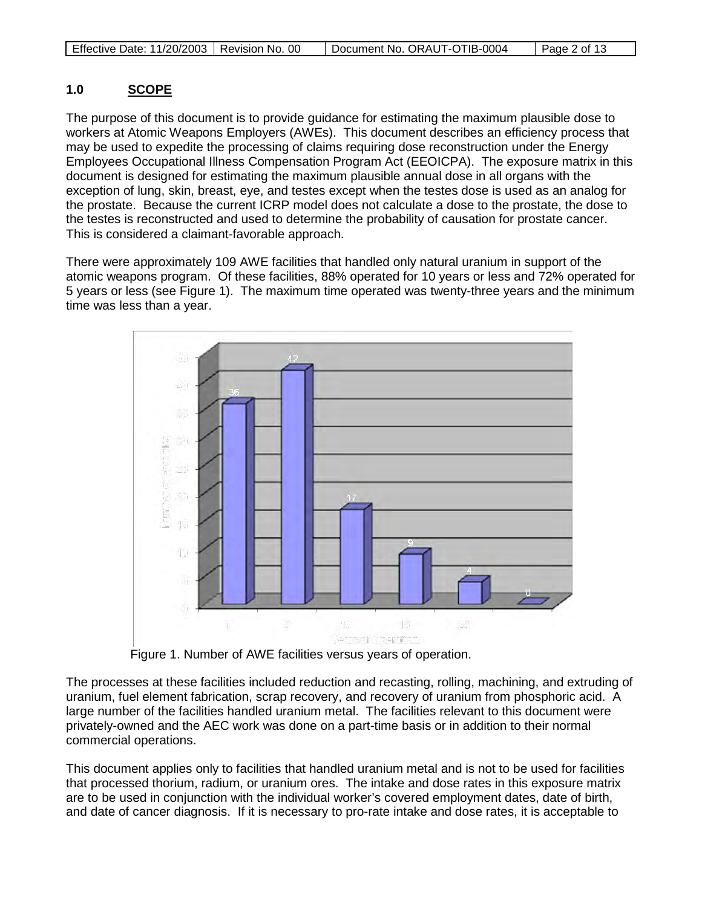|  | Effective Date: 11/20/2003   Revision No. 00 |  | Document No. ORAUT-OTIB-0004 | $\vert$ Page 2 of 13 |
|--|----------------------------------------------|--|------------------------------|----------------------|
|--|----------------------------------------------|--|------------------------------|----------------------|

### **1.0 SCOPE**

The purpose of this document is to provide guidance for estimating the maximum plausible dose to workers at Atomic Weapons Employers (AWEs). This document describes an efficiency process that may be used to expedite the processing of claims requiring dose reconstruction under the Energy Employees Occupational Illness Compensation Program Act (EEOICPA). The exposure matrix in this document is designed for estimating the maximum plausible annual dose in all organs with the exception of lung, skin, breast, eye, and testes except when the testes dose is used as an analog for the prostate. Because the current ICRP model does not calculate a dose to the prostate, the dose to the testes is reconstructed and used to determine the probability of causation for prostate cancer. This is considered a claimant-favorable approach.

There were approximately 109 AWE facilities that handled only natural uranium in support of the atomic weapons program. Of these facilities, 88% operated for 10 years or less and 72% operated for 5 years or less (see Figure 1). The maximum time operated was twenty-three years and the minimum time was less than a year.



Figure 1. Number of AWE facilities versus years of operation.

The processes at these facilities included reduction and recasting, rolling, machining, and extruding of uranium, fuel element fabrication, scrap recovery, and recovery of uranium from phosphoric acid. A large number of the facilities handled uranium metal. The facilities relevant to this document were privately-owned and the AEC work was done on a part-time basis or in addition to their normal commercial operations.

This document applies only to facilities that handled uranium metal and is not to be used for facilities that processed thorium, radium, or uranium ores. The intake and dose rates in this exposure matrix are to be used in conjunction with the individual worker's covered employment dates, date of birth, and date of cancer diagnosis. If it is necessary to pro-rate intake and dose rates, it is acceptable to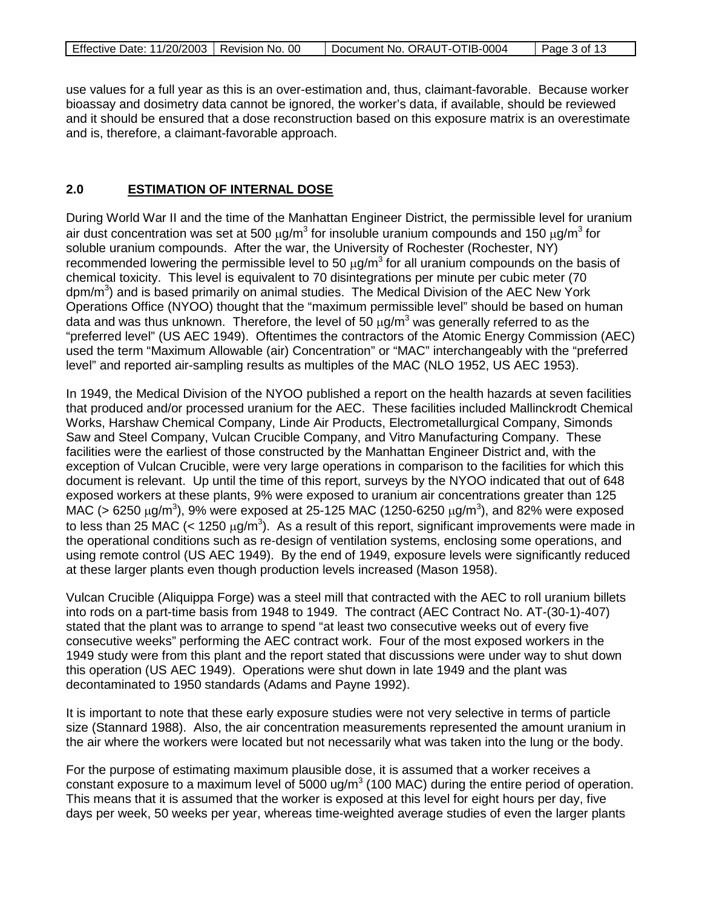|  | Effective Date: 11/20/2003   Revision No. 00 |  | Document No. ORAUT-OTIB-0004 | Page 3 of 13 |
|--|----------------------------------------------|--|------------------------------|--------------|
|--|----------------------------------------------|--|------------------------------|--------------|

use values for a full year as this is an over-estimation and, thus, claimant-favorable. Because worker bioassay and dosimetry data cannot be ignored, the worker's data, if available, should be reviewed and it should be ensured that a dose reconstruction based on this exposure matrix is an overestimate and is, therefore, a claimant-favorable approach.

#### **2.0 ESTIMATION OF INTERNAL DOSE**

During World War II and the time of the Manhattan Engineer District, the permissible level for uranium air dust concentration was set at 500  $\mu$ g/m<sup>3</sup> for insoluble uranium compounds and 150  $\mu$ g/m<sup>3</sup> for soluble uranium compounds. After the war, the University of Rochester (Rochester, NY) recommended lowering the permissible level to 50  $\mu$ g/m<sup>3</sup> for all uranium compounds on the basis of chemical toxicity. This level is equivalent to 70 disintegrations per minute per cubic meter (70 dpm/m<sup>3</sup>) and is based primarily on animal studies. The Medical Division of the AEC New York Operations Office (NYOO) thought that the "maximum permissible level" should be based on human data and was thus unknown. Therefore, the level of 50  $\mu$ g/m<sup>3</sup> was generally referred to as the "preferred level" (US AEC 1949). Oftentimes the contractors of the Atomic Energy Commission (AEC) used the term "Maximum Allowable (air) Concentration" or "MAC" interchangeably with the "preferred level" and reported air-sampling results as multiples of the MAC (NLO 1952, US AEC 1953).

In 1949, the Medical Division of the NYOO published a report on the health hazards at seven facilities that produced and/or processed uranium for the AEC. These facilities included Mallinckrodt Chemical Works, Harshaw Chemical Company, Linde Air Products, Electrometallurgical Company, Simonds Saw and Steel Company, Vulcan Crucible Company, and Vitro Manufacturing Company. These facilities were the earliest of those constructed by the Manhattan Engineer District and, with the exception of Vulcan Crucible, were very large operations in comparison to the facilities for which this document is relevant. Up until the time of this report, surveys by the NYOO indicated that out of 648 exposed workers at these plants, 9% were exposed to uranium air concentrations greater than 125 MAC (> 6250  $\mu$ g/m<sup>3</sup>), 9% were exposed at 25-125 MAC (1250-6250  $\mu$ g/m<sup>3</sup>), and 82% were exposed to less than 25 MAC (< 1250  $\mu$ g/m<sup>3</sup>). As a result of this report, significant improvements were made in the operational conditions such as re-design of ventilation systems, enclosing some operations, and using remote control (US AEC 1949). By the end of 1949, exposure levels were significantly reduced at these larger plants even though production levels increased (Mason 1958).

Vulcan Crucible (Aliquippa Forge) was a steel mill that contracted with the AEC to roll uranium billets into rods on a part-time basis from 1948 to 1949. The contract (AEC Contract No. AT-(30-1)-407) stated that the plant was to arrange to spend "at least two consecutive weeks out of every five consecutive weeks" performing the AEC contract work. Four of the most exposed workers in the 1949 study were from this plant and the report stated that discussions were under way to shut down this operation (US AEC 1949). Operations were shut down in late 1949 and the plant was decontaminated to 1950 standards (Adams and Payne 1992).

It is important to note that these early exposure studies were not very selective in terms of particle size (Stannard 1988). Also, the air concentration measurements represented the amount uranium in the air where the workers were located but not necessarily what was taken into the lung or the body.

For the purpose of estimating maximum plausible dose, it is assumed that a worker receives a constant exposure to a maximum level of 5000 ug/ $m<sup>3</sup>$  (100 MAC) during the entire period of operation. This means that it is assumed that the worker is exposed at this level for eight hours per day, five days per week, 50 weeks per year, whereas time-weighted average studies of even the larger plants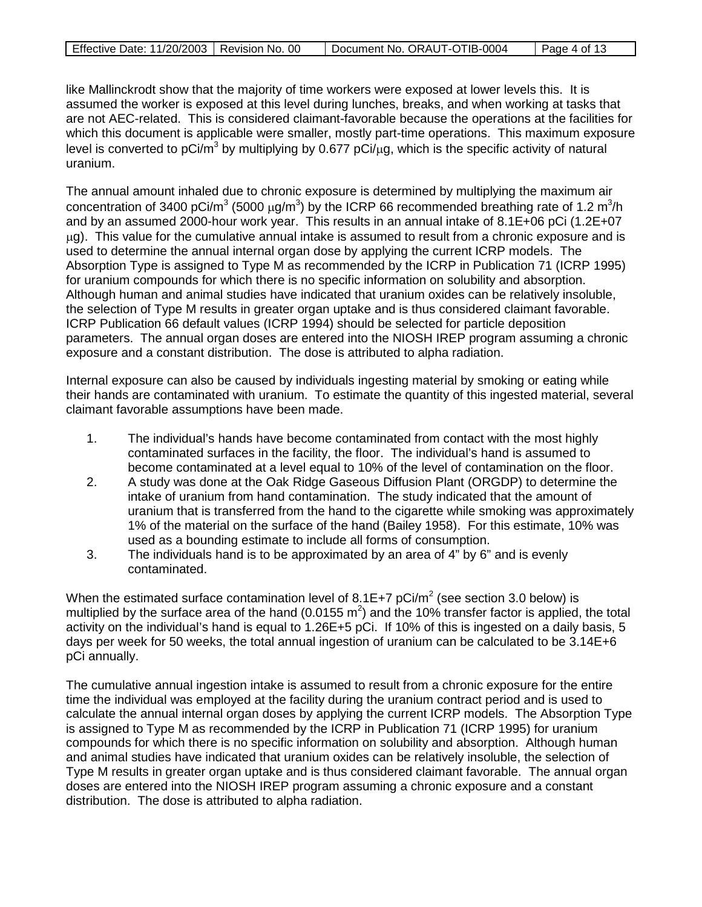| Effective Date: 11/20/2003   Revision No. 00 | Document No. ORAUT-OTIB-0004 | Page 4 of 13 |
|----------------------------------------------|------------------------------|--------------|
|                                              |                              |              |

like Mallinckrodt show that the majority of time workers were exposed at lower levels this. It is assumed the worker is exposed at this level during lunches, breaks, and when working at tasks that are not AEC-related. This is considered claimant-favorable because the operations at the facilities for which this document is applicable were smaller, mostly part-time operations. This maximum exposure level is converted to pCi/m<sup>3</sup> by multiplying by 0.677 pCi/ $\mu$ g, which is the specific activity of natural uranium.

The annual amount inhaled due to chronic exposure is determined by multiplying the maximum air concentration of 3400 pCi/m<sup>3</sup> (5000  $\mu$ g/m<sup>3</sup>) by the ICRP 66 recommended breathing rate of 1.2 m<sup>3</sup>/h and by an assumed 2000-hour work year. This results in an annual intake of 8.1E+06 pCi (1.2E+07  $\mu$ g). This value for the cumulative annual intake is assumed to result from a chronic exposure and is used to determine the annual internal organ dose by applying the current ICRP models. The Absorption Type is assigned to Type M as recommended by the ICRP in Publication 71 (ICRP 1995) for uranium compounds for which there is no specific information on solubility and absorption. Although human and animal studies have indicated that uranium oxides can be relatively insoluble, the selection of Type M results in greater organ uptake and is thus considered claimant favorable. ICRP Publication 66 default values (ICRP 1994) should be selected for particle deposition parameters. The annual organ doses are entered into the NIOSH IREP program assuming a chronic exposure and a constant distribution. The dose is attributed to alpha radiation.

Internal exposure can also be caused by individuals ingesting material by smoking or eating while their hands are contaminated with uranium. To estimate the quantity of this ingested material, several claimant favorable assumptions have been made.

- 1. The individual's hands have become contaminated from contact with the most highly contaminated surfaces in the facility, the floor. The individual's hand is assumed to become contaminated at a level equal to 10% of the level of contamination on the floor.
- 2. A study was done at the Oak Ridge Gaseous Diffusion Plant (ORGDP) to determine the intake of uranium from hand contamination. The study indicated that the amount of uranium that is transferred from the hand to the cigarette while smoking was approximately 1% of the material on the surface of the hand (Bailey 1958). For this estimate, 10% was used as a bounding estimate to include all forms of consumption.
- 3. The individuals hand is to be approximated by an area of 4" by 6" and is evenly contaminated.

When the estimated surface contamination level of 8.1E+7 pCi/m<sup>2</sup> (see section 3.0 below) is multiplied by the surface area of the hand (0.0155  $m^2$ ) and the 10% transfer factor is applied, the total activity on the individual's hand is equal to 1.26E+5 pCi. If 10% of this is ingested on a daily basis, 5 days per week for 50 weeks, the total annual ingestion of uranium can be calculated to be 3.14E+6 pCi annually.

The cumulative annual ingestion intake is assumed to result from a chronic exposure for the entire time the individual was employed at the facility during the uranium contract period and is used to calculate the annual internal organ doses by applying the current ICRP models. The Absorption Type is assigned to Type M as recommended by the ICRP in Publication 71 (ICRP 1995) for uranium compounds for which there is no specific information on solubility and absorption. Although human and animal studies have indicated that uranium oxides can be relatively insoluble, the selection of Type M results in greater organ uptake and is thus considered claimant favorable. The annual organ doses are entered into the NIOSH IREP program assuming a chronic exposure and a constant distribution. The dose is attributed to alpha radiation.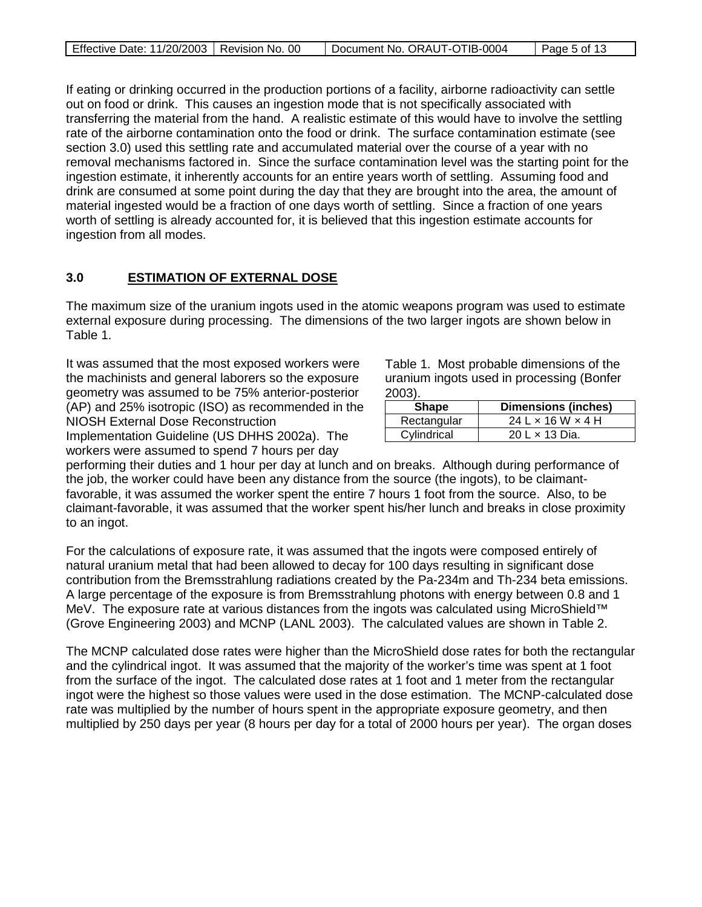|  | Effective Date: 11/20/2003   Revision No. 00 |  | Document No. ORAUT-OTIB-0004 | Page 5 of 13 |
|--|----------------------------------------------|--|------------------------------|--------------|
|--|----------------------------------------------|--|------------------------------|--------------|

If eating or drinking occurred in the production portions of a facility, airborne radioactivity can settle out on food or drink. This causes an ingestion mode that is not specifically associated with transferring the material from the hand. A realistic estimate of this would have to involve the settling rate of the airborne contamination onto the food or drink. The surface contamination estimate (see section 3.0) used this settling rate and accumulated material over the course of a year with no removal mechanisms factored in. Since the surface contamination level was the starting point for the ingestion estimate, it inherently accounts for an entire years worth of settling. Assuming food and drink are consumed at some point during the day that they are brought into the area, the amount of material ingested would be a fraction of one days worth of settling. Since a fraction of one years worth of settling is already accounted for, it is believed that this ingestion estimate accounts for ingestion from all modes.

#### **3.0 ESTIMATION OF EXTERNAL DOSE**

The maximum size of the uranium ingots used in the atomic weapons program was used to estimate external exposure during processing. The dimensions of the two larger ingots are shown below in Table 1.

It was assumed that the most exposed workers were the machinists and general laborers so the exposure geometry was assumed to be 75% anterior-posterior (AP) and 25% isotropic (ISO) as recommended in the NIOSH External Dose Reconstruction

Implementation Guideline (US DHHS 2002a). The workers were assumed to spend 7 hours per day

Table 1. Most probable dimensions of the uranium ingots used in processing (Bonfer 2003).

| Shape       | <b>Dimensions (inches)</b>        |
|-------------|-----------------------------------|
| Rectangular | $24$ L $\times$ 16 W $\times$ 4 H |
| Cylindrical | 20 L x 13 Dia.                    |

performing their duties and 1 hour per day at lunch and on breaks. Although during performance of the job, the worker could have been any distance from the source (the ingots), to be claimantfavorable, it was assumed the worker spent the entire 7 hours 1 foot from the source. Also, to be claimant-favorable, it was assumed that the worker spent his/her lunch and breaks in close proximity to an ingot.

For the calculations of exposure rate, it was assumed that the ingots were composed entirely of natural uranium metal that had been allowed to decay for 100 days resulting in significant dose contribution from the Bremsstrahlung radiations created by the Pa-234m and Th-234 beta emissions. A large percentage of the exposure is from Bremsstrahlung photons with energy between 0.8 and 1 MeV. The exposure rate at various distances from the ingots was calculated using MicroShield™ (Grove Engineering 2003) and MCNP (LANL 2003). The calculated values are shown in Table 2.

The MCNP calculated dose rates were higher than the MicroShield dose rates for both the rectangular and the cylindrical ingot. It was assumed that the majority of the worker's time was spent at 1 foot from the surface of the ingot. The calculated dose rates at 1 foot and 1 meter from the rectangular ingot were the highest so those values were used in the dose estimation. The MCNP-calculated dose rate was multiplied by the number of hours spent in the appropriate exposure geometry, and then multiplied by 250 days per year (8 hours per day for a total of 2000 hours per year). The organ doses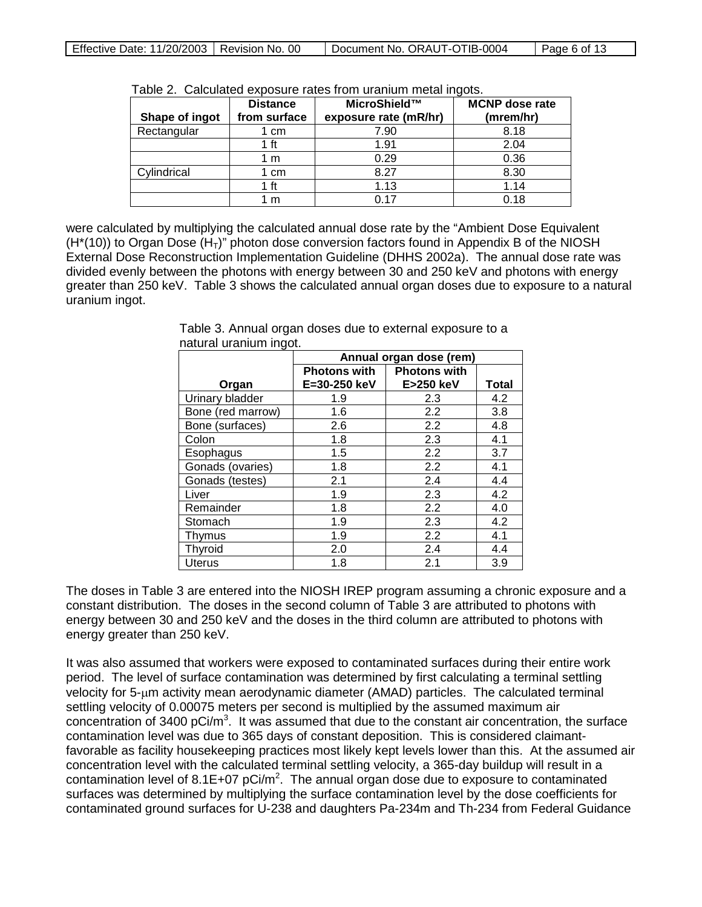| Shape of ingot | <b>Distance</b><br>from surface | MicroShield™<br>exposure rate (mR/hr) | <b>MCNP</b> dose rate<br>(mrem/hr) |
|----------------|---------------------------------|---------------------------------------|------------------------------------|
| Rectangular    | l cm                            | 7.90                                  | 8.18                               |
|                | 1 ft                            | 1.91                                  | 2.04                               |
|                | 1 m                             | 0.29                                  | 0.36                               |
| Cylindrical    | 1 cm                            | 8.27                                  | 8.30                               |
|                | 1 ft                            | 1.13                                  | 1.14                               |
|                | m                               | በ 17                                  | 0.18                               |

Table 2. Calculated exposure rates from uranium metal ingots.

were calculated by multiplying the calculated annual dose rate by the "Ambient Dose Equivalent  $(H<sup>*</sup>(10))$  to Organ Dose  $(H<sub>T</sub>)$ " photon dose conversion factors found in Appendix B of the NIOSH External Dose Reconstruction Implementation Guideline (DHHS 2002a). The annual dose rate was divided evenly between the photons with energy between 30 and 250 keV and photons with energy greater than 250 keV. Table 3 shows the calculated annual organ doses due to exposure to a natural uranium ingot.

|                   | Annual organ dose (rem) |                     |              |
|-------------------|-------------------------|---------------------|--------------|
|                   | <b>Photons with</b>     | <b>Photons with</b> |              |
| Organ             | E=30-250 keV            | E>250 keV           | <b>Total</b> |
| Urinary bladder   | 1.9                     | 2.3                 | 4.2          |
| Bone (red marrow) | 1.6                     | 2.2                 | 3.8          |
| Bone (surfaces)   | 2.6                     | 2.2                 | 4.8          |
| Colon             | 1.8                     | 2.3                 | 4.1          |
| Esophagus         | 1.5                     | 2.2                 | 3.7          |
| Gonads (ovaries)  | 1.8                     | 2.2                 | 4.1          |
| Gonads (testes)   | 2.1                     | 2.4                 | 4.4          |
| Liver             | 1.9                     | 2.3                 | 4.2          |
| Remainder         | 1.8                     | 2.2                 | 4.0          |
| Stomach           | 1.9                     | 2.3                 | 4.2          |
| Thymus            | 1.9                     | 2.2                 | 4.1          |
| Thyroid           | 2.0                     | 2.4                 | 4.4          |
| Uterus            | 1.8                     | 2.1                 | 3.9          |

Table 3. Annual organ doses due to external exposure to a natural uranium ingot.

The doses in Table 3 are entered into the NIOSH IREP program assuming a chronic exposure and a constant distribution. The doses in the second column of Table 3 are attributed to photons with energy between 30 and 250 keV and the doses in the third column are attributed to photons with energy greater than 250 keV.

It was also assumed that workers were exposed to contaminated surfaces during their entire work period. The level of surface contamination was determined by first calculating a terminal settling velocity for 5-µm activity mean aerodynamic diameter (AMAD) particles. The calculated terminal settling velocity of 0.00075 meters per second is multiplied by the assumed maximum air concentration of 3400 pCi/m<sup>3</sup>. It was assumed that due to the constant air concentration, the surface contamination level was due to 365 days of constant deposition. This is considered claimantfavorable as facility housekeeping practices most likely kept levels lower than this. At the assumed air concentration level with the calculated terminal settling velocity, a 365-day buildup will result in a contamination level of 8.1E+07 pCi/m<sup>2</sup>. The annual organ dose due to exposure to contaminated surfaces was determined by multiplying the surface contamination level by the dose coefficients for contaminated ground surfaces for U-238 and daughters Pa-234m and Th-234 from Federal Guidance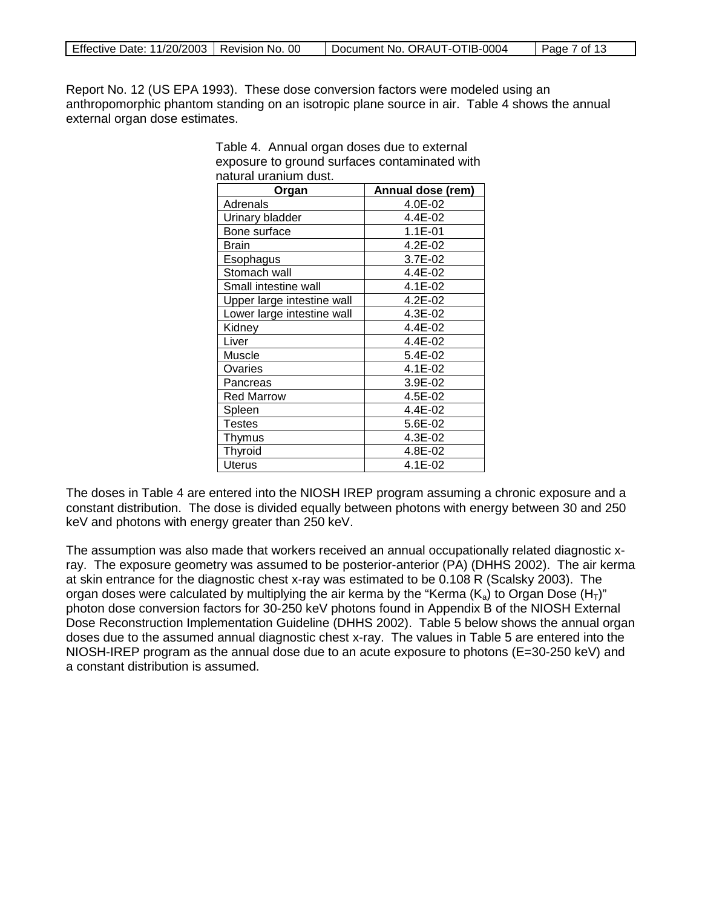| Effective Date: 11/20/2003   Revision No. 00 |  | Document No. ORAUT-OTIB-0004 | $\vert$ Page 7 of 13 |
|----------------------------------------------|--|------------------------------|----------------------|
|----------------------------------------------|--|------------------------------|----------------------|

Report No. 12 (US EPA 1993). These dose conversion factors were modeled using an anthropomorphic phantom standing on an isotropic plane source in air. Table 4 shows the annual external organ dose estimates.

| naturai uranium dust.      |                   |
|----------------------------|-------------------|
| Organ                      | Annual dose (rem) |
| Adrenals                   | 4.0E-02           |
| Urinary bladder            | 4.4E-02           |
| Bone surface               | $1.1E-01$         |
| Brain                      | $4.2E - 02$       |
| Esophagus                  | 3.7E-02           |
| Stomach wall               | 4.4E-02           |
| Small intestine wall       | 4.1E-02           |
| Upper large intestine wall | 4.2E-02           |
| Lower large intestine wall | 4.3E-02           |
| Kidney                     | 4.4E-02           |
| Liver                      | 4.4E-02           |
| Muscle                     | 5.4E-02           |
| Ovaries                    | 4.1E-02           |
| Pancreas                   | 3.9E-02           |
| <b>Red Marrow</b>          | 4.5E-02           |
| Spleen                     | 4.4E-02           |
| Testes                     | 5.6E-02           |
| Thymus                     | 4.3E-02           |
| Thyroid                    | 4.8E-02           |
| <b>Uterus</b>              | 4.1E-02           |

Table 4. Annual organ doses due to external exposure to ground surfaces contaminated with natural uranium dust.

The doses in Table 4 are entered into the NIOSH IREP program assuming a chronic exposure and a constant distribution. The dose is divided equally between photons with energy between 30 and 250 keV and photons with energy greater than 250 keV.

The assumption was also made that workers received an annual occupationally related diagnostic xray. The exposure geometry was assumed to be posterior-anterior (PA) (DHHS 2002). The air kerma at skin entrance for the diagnostic chest x-ray was estimated to be 0.108 R (Scalsky 2003). The organ doses were calculated by multiplying the air kerma by the "Kerma  $(K_a)$  to Organ Dose  $(H_T)$ " photon dose conversion factors for 30-250 keV photons found in Appendix B of the NIOSH External Dose Reconstruction Implementation Guideline (DHHS 2002). Table 5 below shows the annual organ doses due to the assumed annual diagnostic chest x-ray. The values in Table 5 are entered into the NIOSH-IREP program as the annual dose due to an acute exposure to photons (E=30-250 keV) and a constant distribution is assumed.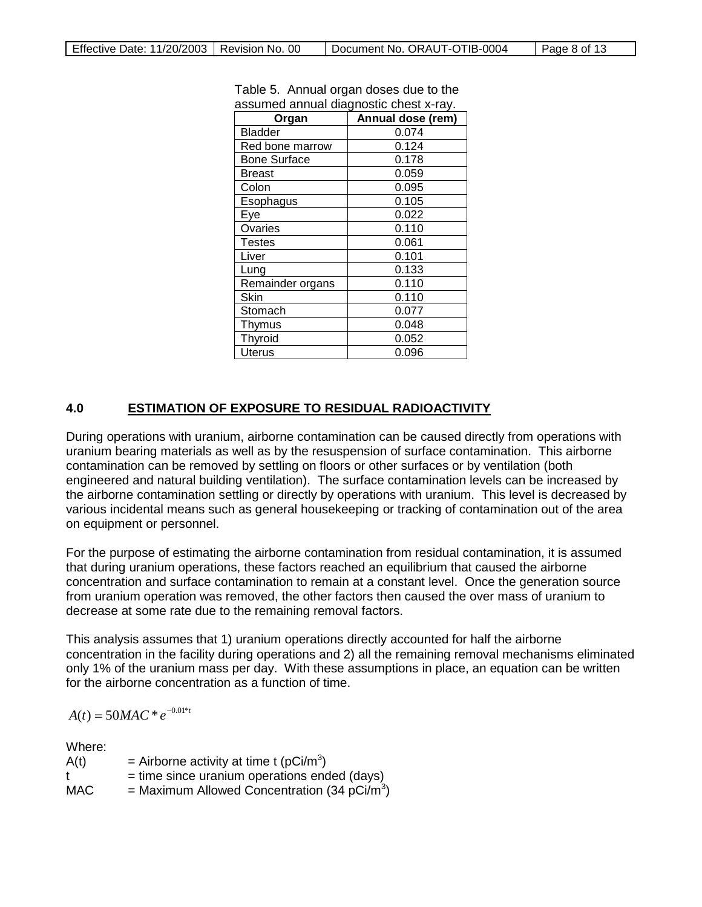| Organ               | Annual dose (rem) |
|---------------------|-------------------|
| <b>Bladder</b>      | 0.074             |
| Red bone marrow     | 0.124             |
| <b>Bone Surface</b> | 0.178             |
| Breast              | 0.059             |
| Colon               | 0.095             |
| Esophagus           | 0.105             |
| Eye                 | 0.022             |
| Ovaries             | 0.110             |
| Testes              | 0.061             |
| Liver               | 0.101             |
| Lung                | 0.133             |
| Remainder organs    | 0.110             |
| Skin                | 0.110             |
| Stomach             | 0.077             |
| Thymus              | 0.048             |
| Thyroid             | 0.052             |
| <b>Uterus</b>       | 0.096             |

Table 5. Annual organ doses due to the assumed annual diagnostic chest x-ray.

#### **4.0 ESTIMATION OF EXPOSURE TO RESIDUAL RADIOACTIVITY**

During operations with uranium, airborne contamination can be caused directly from operations with uranium bearing materials as well as by the resuspension of surface contamination. This airborne contamination can be removed by settling on floors or other surfaces or by ventilation (both engineered and natural building ventilation). The surface contamination levels can be increased by the airborne contamination settling or directly by operations with uranium. This level is decreased by various incidental means such as general housekeeping or tracking of contamination out of the area on equipment or personnel.

For the purpose of estimating the airborne contamination from residual contamination, it is assumed that during uranium operations, these factors reached an equilibrium that caused the airborne concentration and surface contamination to remain at a constant level. Once the generation source from uranium operation was removed, the other factors then caused the over mass of uranium to decrease at some rate due to the remaining removal factors.

This analysis assumes that 1) uranium operations directly accounted for half the airborne concentration in the facility during operations and 2) all the remaining removal mechanisms eliminated only 1% of the uranium mass per day. With these assumptions in place, an equation can be written for the airborne concentration as a function of time.

 $A(t) = 50MAC * e^{-0.01* t}$ 

Where:

| A(t) | = Airborne activity at time t ( $pCi/m^3$ )              |
|------|----------------------------------------------------------|
| t    | $=$ time since uranium operations ended (days)           |
| MAC. | = Maximum Allowed Concentration (34 pCi/m <sup>3</sup> ) |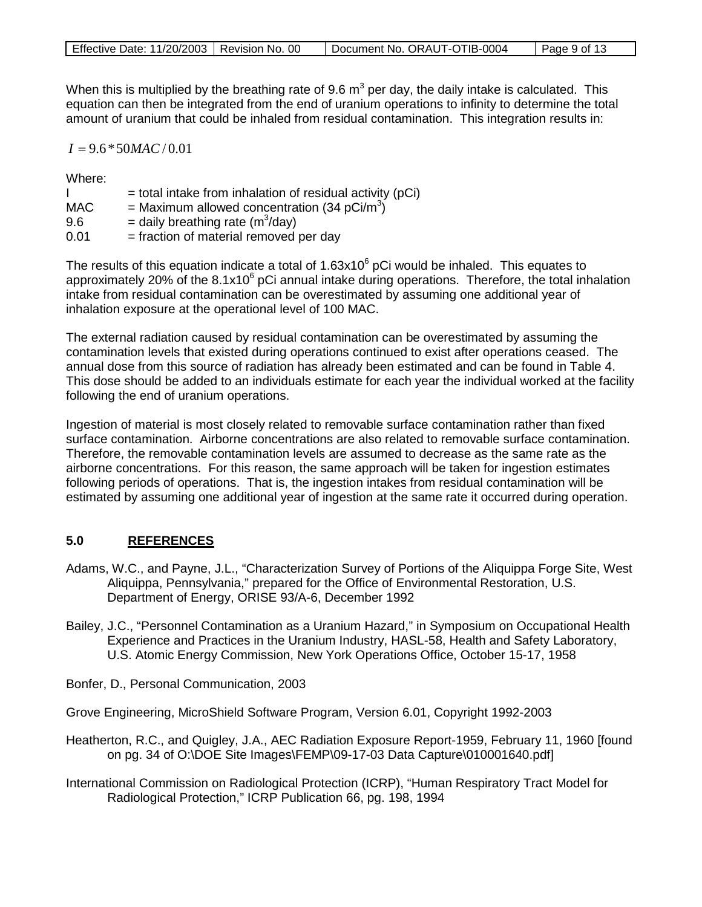|  | Effective Date: 11/20/2003   Revision No. 00 |  | Document No. ORAUT-OTIB-0004 | $\vert$ Page 9 of 13 |
|--|----------------------------------------------|--|------------------------------|----------------------|
|--|----------------------------------------------|--|------------------------------|----------------------|

When this is multiplied by the breathing rate of 9.6  $m<sup>3</sup>$  per day, the daily intake is calculated. This equation can then be integrated from the end of uranium operations to infinity to determine the total amount of uranium that could be inhaled from residual contamination. This integration results in:

 $I = 9.6 * 50$ *MAC* / 0.01

Where:

|            | $=$ total intake from inhalation of residual activity (pCi) |
|------------|-------------------------------------------------------------|
| <b>MAC</b> | = Maximum allowed concentration (34 pCi/m <sup>3</sup> )    |
| 9.6        | = daily breathing rate ( $m^3$ /day)                        |
| 0.01       | = fraction of material removed per day                      |

The results of this equation indicate a total of  $1.63x10^6$  pCi would be inhaled. This equates to approximately 20% of the  $8.1x10^6$  pCi annual intake during operations. Therefore, the total inhalation intake from residual contamination can be overestimated by assuming one additional year of inhalation exposure at the operational level of 100 MAC.

The external radiation caused by residual contamination can be overestimated by assuming the contamination levels that existed during operations continued to exist after operations ceased. The annual dose from this source of radiation has already been estimated and can be found in Table 4. This dose should be added to an individuals estimate for each year the individual worked at the facility following the end of uranium operations.

Ingestion of material is most closely related to removable surface contamination rather than fixed surface contamination. Airborne concentrations are also related to removable surface contamination. Therefore, the removable contamination levels are assumed to decrease as the same rate as the airborne concentrations. For this reason, the same approach will be taken for ingestion estimates following periods of operations. That is, the ingestion intakes from residual contamination will be estimated by assuming one additional year of ingestion at the same rate it occurred during operation.

#### **5.0 REFERENCES**

- Adams, W.C., and Payne, J.L., "Characterization Survey of Portions of the Aliquippa Forge Site, West Aliquippa, Pennsylvania," prepared for the Office of Environmental Restoration, U.S. Department of Energy, ORISE 93/A-6, December 1992
- Bailey, J.C., "Personnel Contamination as a Uranium Hazard," in Symposium on Occupational Health Experience and Practices in the Uranium Industry, HASL-58, Health and Safety Laboratory, U.S. Atomic Energy Commission, New York Operations Office, October 15-17, 1958

Bonfer, D., Personal Communication, 2003

Grove Engineering, MicroShield Software Program, Version 6.01, Copyright 1992-2003

- Heatherton, R.C., and Quigley, J.A., AEC Radiation Exposure Report-1959, February 11, 1960 [found on pg. 34 of O:\DOE Site Images\FEMP\09-17-03 Data Capture\010001640.pdf]
- International Commission on Radiological Protection (ICRP), "Human Respiratory Tract Model for Radiological Protection," ICRP Publication 66, pg. 198, 1994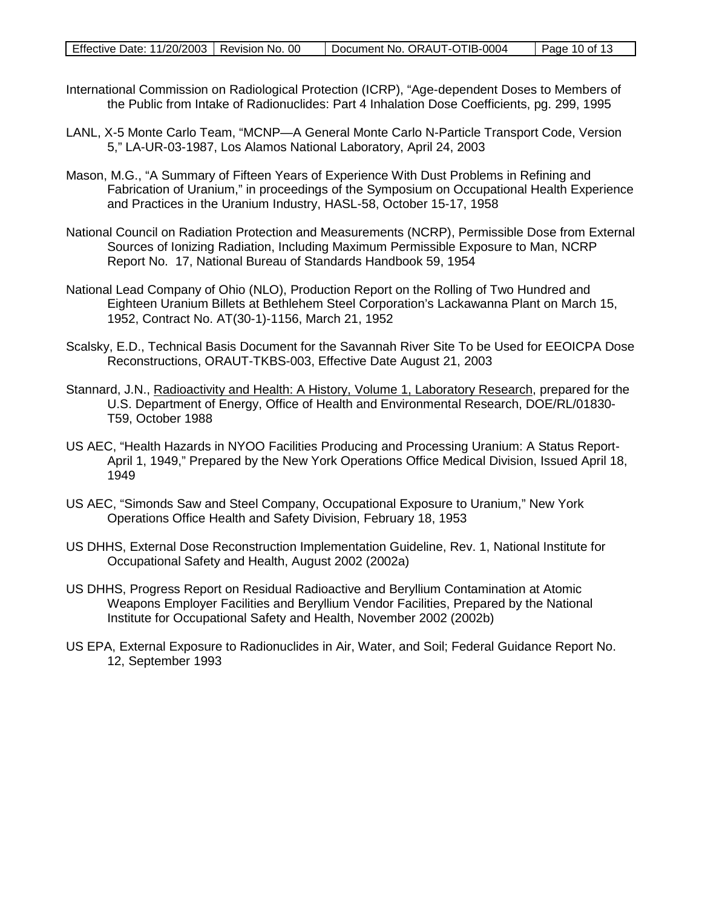| Effective Date: 11/20/2003   Revision No. 00 | Document No. ORAUT-OTIB-0004 | Page 10 of 13 |
|----------------------------------------------|------------------------------|---------------|
|                                              |                              |               |

- International Commission on Radiological Protection (ICRP), "Age-dependent Doses to Members of the Public from Intake of Radionuclides: Part 4 Inhalation Dose Coefficients, pg. 299, 1995
- LANL, X-5 Monte Carlo Team, "MCNP—A General Monte Carlo N-Particle Transport Code, Version 5," LA-UR-03-1987, Los Alamos National Laboratory, April 24, 2003
- Mason, M.G., "A Summary of Fifteen Years of Experience With Dust Problems in Refining and Fabrication of Uranium," in proceedings of the Symposium on Occupational Health Experience and Practices in the Uranium Industry, HASL-58, October 15-17, 1958
- National Council on Radiation Protection and Measurements (NCRP), Permissible Dose from External Sources of Ionizing Radiation, Including Maximum Permissible Exposure to Man, NCRP Report No. 17, National Bureau of Standards Handbook 59, 1954
- National Lead Company of Ohio (NLO), Production Report on the Rolling of Two Hundred and Eighteen Uranium Billets at Bethlehem Steel Corporation's Lackawanna Plant on March 15, 1952, Contract No. AT(30-1)-1156, March 21, 1952
- Scalsky, E.D., Technical Basis Document for the Savannah River Site To be Used for EEOICPA Dose Reconstructions, ORAUT-TKBS-003, Effective Date August 21, 2003
- Stannard, J.N., *Radioactivity and Health: A History, Volume 1, Laboratory Research, prepared for the* U.S. Department of Energy, Office of Health and Environmental Research, DOE/RL/01830- T59, October 1988
- US AEC, "Health Hazards in NYOO Facilities Producing and Processing Uranium: A Status Report-April 1, 1949," Prepared by the New York Operations Office Medical Division, Issued April 18, 1949
- US AEC, "Simonds Saw and Steel Company, Occupational Exposure to Uranium," New York Operations Office Health and Safety Division, February 18, 1953
- US DHHS, External Dose Reconstruction Implementation Guideline, Rev. 1, National Institute for Occupational Safety and Health, August 2002 (2002a)
- US DHHS, Progress Report on Residual Radioactive and Beryllium Contamination at Atomic Weapons Employer Facilities and Beryllium Vendor Facilities, Prepared by the National Institute for Occupational Safety and Health, November 2002 (2002b)
- US EPA, External Exposure to Radionuclides in Air, Water, and Soil; Federal Guidance Report No. 12, September 1993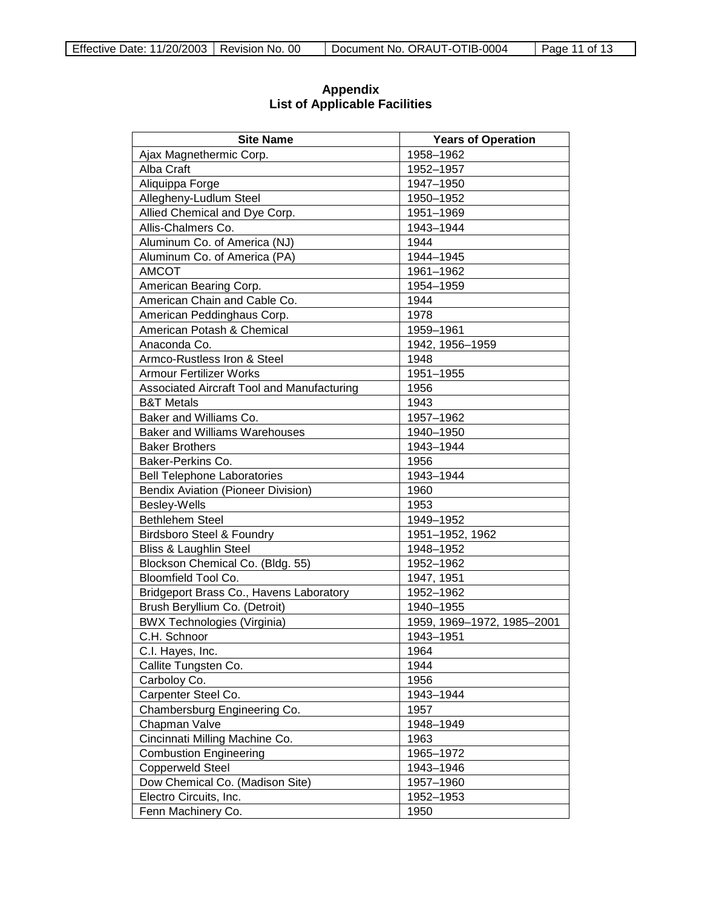| <b>Site Name</b>                           | <b>Years of Operation</b>  |
|--------------------------------------------|----------------------------|
| Ajax Magnethermic Corp.                    | 1958-1962                  |
| Alba Craft                                 | 1952-1957                  |
| Aliquippa Forge                            | 1947-1950                  |
| Allegheny-Ludlum Steel                     | 1950-1952                  |
| Allied Chemical and Dye Corp.              | 1951-1969                  |
| Allis-Chalmers Co.                         | 1943-1944                  |
| Aluminum Co. of America (NJ)               | 1944                       |
| Aluminum Co. of America (PA)               | 1944-1945                  |
| <b>AMCOT</b>                               | 1961-1962                  |
| American Bearing Corp.                     | 1954-1959                  |
| American Chain and Cable Co.               | 1944                       |
| American Peddinghaus Corp.                 | 1978                       |
| American Potash & Chemical                 | 1959-1961                  |
| Anaconda Co.                               | 1942, 1956-1959            |
| Armco-Rustless Iron & Steel                | 1948                       |
| <b>Armour Fertilizer Works</b>             | 1951-1955                  |
| Associated Aircraft Tool and Manufacturing | 1956                       |
| <b>B&amp;T Metals</b>                      | 1943                       |
| Baker and Williams Co.                     | 1957-1962                  |
| <b>Baker and Williams Warehouses</b>       | 1940-1950                  |
| <b>Baker Brothers</b>                      | 1943-1944                  |
| Baker-Perkins Co.                          | 1956                       |
| <b>Bell Telephone Laboratories</b>         | 1943-1944                  |
| <b>Bendix Aviation (Pioneer Division)</b>  | 1960                       |
| Besley-Wells                               | 1953                       |
| <b>Bethlehem Steel</b>                     | 1949-1952                  |
| <b>Birdsboro Steel &amp; Foundry</b>       | 1951-1952, 1962            |
| <b>Bliss &amp; Laughlin Steel</b>          | 1948-1952                  |
| Blockson Chemical Co. (Bldg. 55)           | 1952-1962                  |
| Bloomfield Tool Co.                        | 1947, 1951                 |
| Bridgeport Brass Co., Havens Laboratory    | 1952-1962                  |
| Brush Beryllium Co. (Detroit)              | 1940-1955                  |
| <b>BWX Technologies (Virginia)</b>         | 1959, 1969-1972, 1985-2001 |
| C.H. Schnoor                               | 1943-1951                  |
| C.I. Hayes, Inc.                           | 1964                       |
| Callite Tungsten Co.                       | 1944                       |
| Carboloy Co.                               | 1956                       |
| Carpenter Steel Co.                        | 1943-1944                  |
| Chambersburg Engineering Co.               | 1957                       |
| Chapman Valve                              | 1948-1949                  |
| Cincinnati Milling Machine Co.             | 1963                       |
| <b>Combustion Engineering</b>              | 1965-1972                  |
| <b>Copperweld Steel</b>                    | 1943-1946                  |
| Dow Chemical Co. (Madison Site)            | 1957-1960                  |
| Electro Circuits, Inc.                     | 1952-1953                  |
| Fenn Machinery Co.                         | 1950                       |

**Appendix List of Applicable Facilities**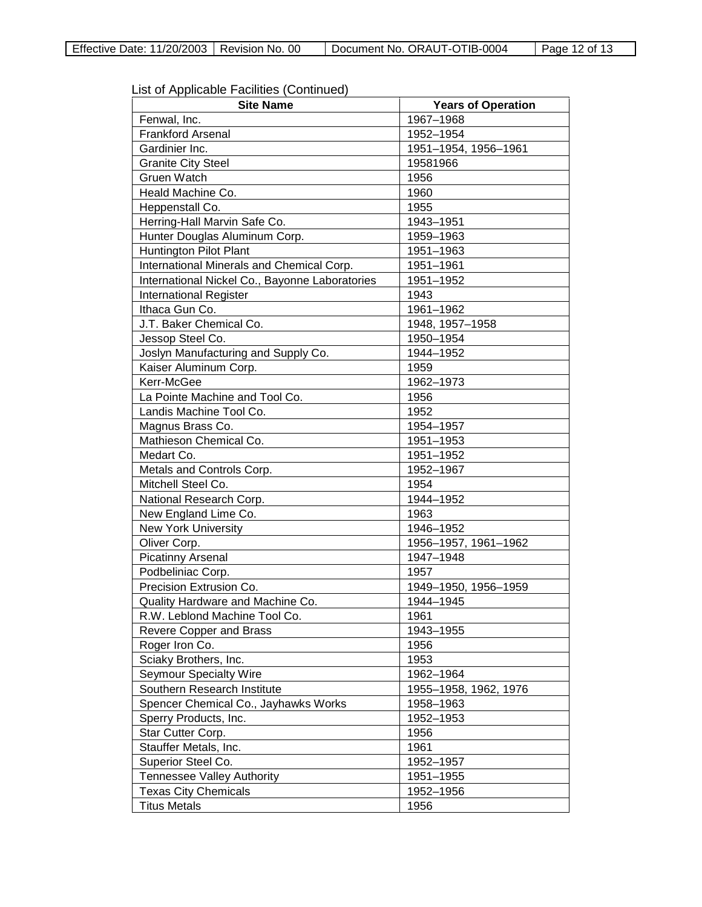| List of Applicable Facilities (Continued) |  |
|-------------------------------------------|--|
|-------------------------------------------|--|

| <b>Site Name</b>                               | <b>Years of Operation</b> |
|------------------------------------------------|---------------------------|
| Fenwal, Inc.                                   | 1967-1968                 |
| <b>Frankford Arsenal</b>                       | 1952-1954                 |
| Gardinier Inc.                                 | 1951-1954, 1956-1961      |
| <b>Granite City Steel</b>                      | 19581966                  |
| Gruen Watch                                    | 1956                      |
| Heald Machine Co.                              | 1960                      |
| Heppenstall Co.                                | 1955                      |
| Herring-Hall Marvin Safe Co.                   | 1943-1951                 |
| Hunter Douglas Aluminum Corp.                  | 1959-1963                 |
| <b>Huntington Pilot Plant</b>                  | 1951-1963                 |
| International Minerals and Chemical Corp.      | 1951-1961                 |
| International Nickel Co., Bayonne Laboratories | 1951-1952                 |
| International Register                         | 1943                      |
| Ithaca Gun Co.                                 | 1961-1962                 |
| J.T. Baker Chemical Co.                        | 1948, 1957-1958           |
| Jessop Steel Co.                               | 1950-1954                 |
| Joslyn Manufacturing and Supply Co.            | 1944-1952                 |
| Kaiser Aluminum Corp.                          | 1959                      |
| Kerr-McGee                                     | 1962-1973                 |
| La Pointe Machine and Tool Co.                 | 1956                      |
| Landis Machine Tool Co.                        | 1952                      |
| Magnus Brass Co.                               | 1954-1957                 |
| Mathieson Chemical Co.                         | 1951-1953                 |
| Medart Co.                                     | 1951-1952                 |
| Metals and Controls Corp.                      | 1952-1967                 |
| Mitchell Steel Co.                             | 1954                      |
| National Research Corp.                        | 1944-1952                 |
| New England Lime Co.                           | 1963                      |
| <b>New York University</b>                     | 1946-1952                 |
| Oliver Corp.                                   | 1956-1957, 1961-1962      |
| <b>Picatinny Arsenal</b>                       | 1947-1948                 |
| Podbeliniac Corp.                              | 1957                      |
| Precision Extrusion Co.                        | 1949-1950, 1956-1959      |
| Quality Hardware and Machine Co.               | 1944-1945                 |
| R.W. Leblond Machine Tool Co.                  | 1961                      |
| Revere Copper and Brass                        | 1943-1955                 |
| Roger Iron Co.                                 | 1956                      |
| Sciaky Brothers, Inc.                          | 1953                      |
| <b>Seymour Specialty Wire</b>                  | 1962-1964                 |
| Southern Research Institute                    | 1955-1958, 1962, 1976     |
| Spencer Chemical Co., Jayhawks Works           | 1958-1963                 |
| Sperry Products, Inc.                          | 1952-1953                 |
| Star Cutter Corp.                              | 1956                      |
| Stauffer Metals, Inc.                          | 1961                      |
| Superior Steel Co.                             | 1952-1957                 |
| <b>Tennessee Valley Authority</b>              | 1951-1955                 |
| <b>Texas City Chemicals</b>                    | 1952-1956                 |
| <b>Titus Metals</b>                            | 1956                      |